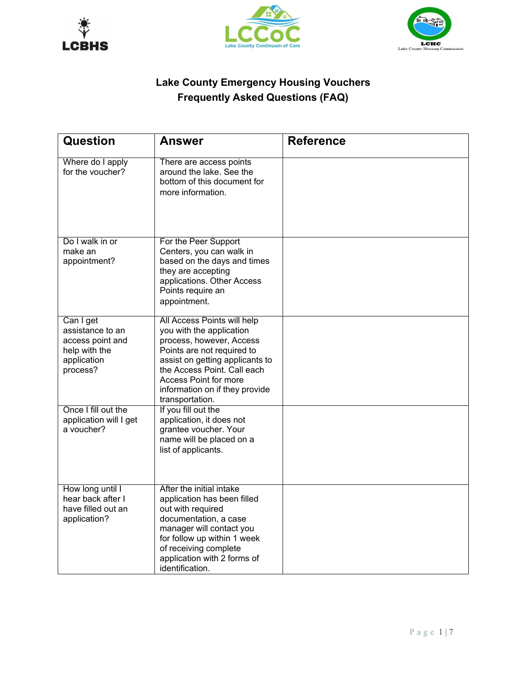





## **Lake County Emergency Housing Vouchers Frequently Asked Questions (FAQ)**

| Question                                      | Answer                                                                                                  | <b>Reference</b> |
|-----------------------------------------------|---------------------------------------------------------------------------------------------------------|------------------|
| Where do I apply<br>for the voucher?          | There are access points<br>around the lake. See the<br>bottom of this document for<br>more information. |                  |
| Do I walk in or<br>make an                    | For the Peer Support<br>Centers, you can walk in                                                        |                  |
| appointment?                                  | based on the days and times                                                                             |                  |
|                                               | they are accepting<br>applications. Other Access                                                        |                  |
|                                               | Points require an<br>appointment.                                                                       |                  |
| Can I get<br>assistance to an                 | All Access Points will help<br>you with the application                                                 |                  |
| access point and                              | process, however, Access                                                                                |                  |
| help with the<br>application                  | Points are not required to<br>assist on getting applicants to                                           |                  |
| process?                                      | the Access Point. Call each                                                                             |                  |
|                                               | Access Point for more<br>information on if they provide                                                 |                  |
|                                               | transportation.                                                                                         |                  |
| Once I fill out the<br>application will I get | If you fill out the<br>application, it does not                                                         |                  |
| a voucher?                                    | grantee voucher. Your                                                                                   |                  |
|                                               | name will be placed on a                                                                                |                  |
|                                               | list of applicants.                                                                                     |                  |
|                                               |                                                                                                         |                  |
| How long until I<br>hear back after I         | After the initial intake<br>application has been filled                                                 |                  |
| have filled out an                            | out with required                                                                                       |                  |
| application?                                  | documentation, a case                                                                                   |                  |
|                                               | manager will contact you<br>for follow up within 1 week                                                 |                  |
|                                               | of receiving complete                                                                                   |                  |
|                                               | application with 2 forms of<br>identification.                                                          |                  |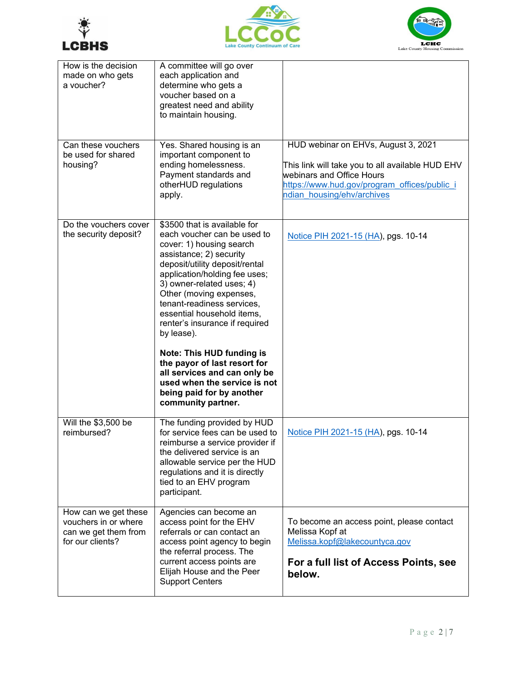





| How is the decision<br>made on who gets<br>a voucher?                                    | A committee will go over<br>each application and<br>determine who gets a<br>voucher based on a<br>greatest need and ability<br>to maintain housing.                                                                                                                                                                                                                                                                                                                                                                                              |                                                                                                                                                                                                    |
|------------------------------------------------------------------------------------------|--------------------------------------------------------------------------------------------------------------------------------------------------------------------------------------------------------------------------------------------------------------------------------------------------------------------------------------------------------------------------------------------------------------------------------------------------------------------------------------------------------------------------------------------------|----------------------------------------------------------------------------------------------------------------------------------------------------------------------------------------------------|
| Can these vouchers<br>be used for shared<br>housing?                                     | Yes. Shared housing is an<br>important component to<br>ending homelessness.<br>Payment standards and<br>otherHUD regulations<br>apply.                                                                                                                                                                                                                                                                                                                                                                                                           | HUD webinar on EHVs, August 3, 2021<br>This link will take you to all available HUD EHV<br>webinars and Office Hours<br>https://www.hud.gov/program_offices/public_i<br>ndian housing/ehv/archives |
| Do the vouchers cover<br>the security deposit?                                           | \$3500 that is available for<br>each voucher can be used to<br>cover: 1) housing search<br>assistance; 2) security<br>deposit/utility deposit/rental<br>application/holding fee uses;<br>3) owner-related uses; 4)<br>Other (moving expenses,<br>tenant-readiness services,<br>essential household items,<br>renter's insurance if required<br>by lease).<br><b>Note: This HUD funding is</b><br>the payor of last resort for<br>all services and can only be<br>used when the service is not<br>being paid for by another<br>community partner. | Notice PIH 2021-15 (HA), pgs. 10-14                                                                                                                                                                |
| Will the \$3,500 be<br>reimbursed?                                                       | The funding provided by HUD<br>for service fees can be used to<br>reimburse a service provider if<br>the delivered service is an<br>allowable service per the HUD<br>regulations and it is directly<br>tied to an EHV program<br>participant.                                                                                                                                                                                                                                                                                                    | Notice PIH 2021-15 (HA), pgs. 10-14                                                                                                                                                                |
| How can we get these<br>vouchers in or where<br>can we get them from<br>for our clients? | Agencies can become an<br>access point for the EHV<br>referrals or can contact an<br>access point agency to begin<br>the referral process. The<br>current access points are<br>Elijah House and the Peer<br><b>Support Centers</b>                                                                                                                                                                                                                                                                                                               | To become an access point, please contact<br>Melissa Kopf at<br>Melissa.kopf@lakecountyca.gov<br>For a full list of Access Points, see<br>below.                                                   |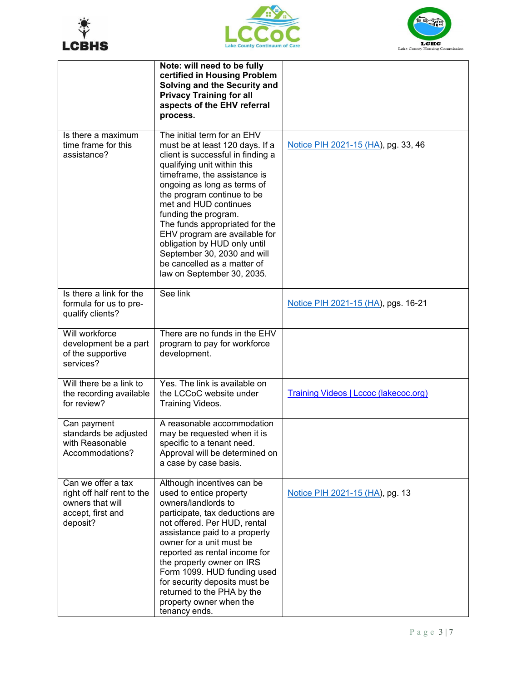





|                                                                                                       | Note: will need to be fully<br>certified in Housing Problem<br>Solving and the Security and<br><b>Privacy Training for all</b><br>aspects of the EHV referral<br>process.                                                                                                                                                                                                                                                                                                       |                                              |
|-------------------------------------------------------------------------------------------------------|---------------------------------------------------------------------------------------------------------------------------------------------------------------------------------------------------------------------------------------------------------------------------------------------------------------------------------------------------------------------------------------------------------------------------------------------------------------------------------|----------------------------------------------|
| Is there a maximum<br>time frame for this<br>assistance?                                              | The initial term for an EHV<br>must be at least 120 days. If a<br>client is successful in finding a<br>qualifying unit within this<br>timeframe, the assistance is<br>ongoing as long as terms of<br>the program continue to be<br>met and HUD continues<br>funding the program.<br>The funds appropriated for the<br>EHV program are available for<br>obligation by HUD only until<br>September 30, 2030 and will<br>be cancelled as a matter of<br>law on September 30, 2035. | Notice PIH 2021-15 (HA), pg. 33, 46          |
| Is there a link for the<br>formula for us to pre-<br>qualify clients?                                 | See link                                                                                                                                                                                                                                                                                                                                                                                                                                                                        | Notice PIH 2021-15 (HA), pgs. 16-21          |
| Will workforce<br>development be a part<br>of the supportive<br>services?                             | There are no funds in the EHV<br>program to pay for workforce<br>development.                                                                                                                                                                                                                                                                                                                                                                                                   |                                              |
| Will there be a link to<br>the recording available<br>for review?                                     | Yes. The link is available on<br>the LCCoC website under<br>Training Videos.                                                                                                                                                                                                                                                                                                                                                                                                    | <b>Training Videos   Lccoc (lakecoc.org)</b> |
| Can payment<br>standards be adjusted<br>with Reasonable<br>Accommodations?                            | A reasonable accommodation<br>may be requested when it is<br>specific to a tenant need.<br>Approval will be determined on<br>a case by case basis.                                                                                                                                                                                                                                                                                                                              |                                              |
| Can we offer a tax<br>right off half rent to the<br>owners that will<br>accept, first and<br>deposit? | Although incentives can be<br>used to entice property<br>owners/landlords to<br>participate, tax deductions are<br>not offered. Per HUD, rental<br>assistance paid to a property<br>owner for a unit must be<br>reported as rental income for<br>the property owner on IRS<br>Form 1099. HUD funding used<br>for security deposits must be<br>returned to the PHA by the<br>property owner when the<br>tenancy ends.                                                            | Notice PIH 2021-15 (HA), pg. 13              |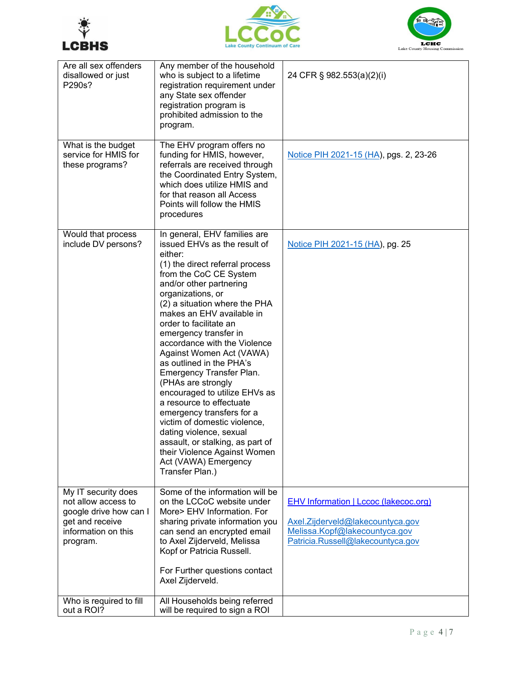





| Are all sex offenders<br>disallowed or just<br>P290s?                                                                      | Any member of the household<br>who is subject to a lifetime<br>registration requirement under<br>any State sex offender<br>registration program is<br>prohibited admission to the<br>program.                                                                                                                                                                                                                                                                                                                                                                                                                                                                                                                       | 24 CFR § 982.553(a)(2)(i)                                                                                                                       |
|----------------------------------------------------------------------------------------------------------------------------|---------------------------------------------------------------------------------------------------------------------------------------------------------------------------------------------------------------------------------------------------------------------------------------------------------------------------------------------------------------------------------------------------------------------------------------------------------------------------------------------------------------------------------------------------------------------------------------------------------------------------------------------------------------------------------------------------------------------|-------------------------------------------------------------------------------------------------------------------------------------------------|
| What is the budget<br>service for HMIS for<br>these programs?                                                              | The EHV program offers no<br>funding for HMIS, however,<br>referrals are received through<br>the Coordinated Entry System,<br>which does utilize HMIS and<br>for that reason all Access<br>Points will follow the HMIS<br>procedures                                                                                                                                                                                                                                                                                                                                                                                                                                                                                | Notice PIH 2021-15 (HA), pgs. 2, 23-26                                                                                                          |
| Would that process<br>include DV persons?                                                                                  | In general, EHV families are<br>issued EHVs as the result of<br>either:<br>(1) the direct referral process<br>from the CoC CE System<br>and/or other partnering<br>organizations, or<br>(2) a situation where the PHA<br>makes an EHV available in<br>order to facilitate an<br>emergency transfer in<br>accordance with the Violence<br>Against Women Act (VAWA)<br>as outlined in the PHA's<br>Emergency Transfer Plan.<br>(PHAs are strongly<br>encouraged to utilize EHVs as<br>a resource to effectuate<br>emergency transfers for a<br>victim of domestic violence,<br>dating violence, sexual<br>assault, or stalking, as part of<br>their Violence Against Women<br>Act (VAWA) Emergency<br>Transfer Plan.) | Notice PIH 2021-15 (HA), pg. 25                                                                                                                 |
| My IT security does<br>not allow access to<br>google drive how can I<br>get and receive<br>information on this<br>program. | Some of the information will be<br>on the LCCoC website under<br>More> EHV Information. For<br>sharing private information you<br>can send an encrypted email<br>to Axel Zijderveld, Melissa<br>Kopf or Patricia Russell.<br>For Further questions contact<br>Axel Zijderveld.                                                                                                                                                                                                                                                                                                                                                                                                                                      | EHV Information   Lccoc (lakecoc.org)<br>Axel.Zijderveld@lakecountyca.gov<br>Melissa.Kopf@lakecountyca.gov<br>Patricia.Russell@lakecountyca.gov |
| Who is required to fill<br>out a ROI?                                                                                      | All Households being referred<br>will be required to sign a ROI                                                                                                                                                                                                                                                                                                                                                                                                                                                                                                                                                                                                                                                     |                                                                                                                                                 |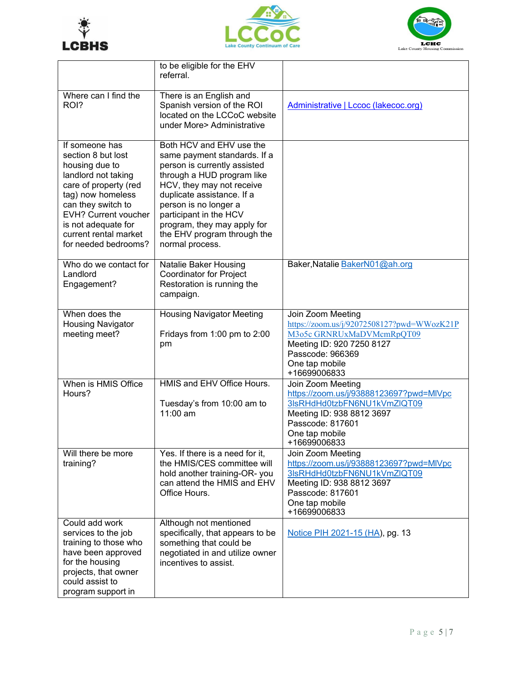





|                                                                                                                                                                                                                                                          | to be eligible for the EHV<br>referral.                                                                                                                                                                                                                                                                               |                                                                                                                                                                                 |
|----------------------------------------------------------------------------------------------------------------------------------------------------------------------------------------------------------------------------------------------------------|-----------------------------------------------------------------------------------------------------------------------------------------------------------------------------------------------------------------------------------------------------------------------------------------------------------------------|---------------------------------------------------------------------------------------------------------------------------------------------------------------------------------|
| Where can I find the<br>ROI?                                                                                                                                                                                                                             | There is an English and<br>Spanish version of the ROI<br>located on the LCCoC website<br>under More> Administrative                                                                                                                                                                                                   | Administrative   Lccoc (lakecoc.org)                                                                                                                                            |
| If someone has<br>section 8 but lost<br>housing due to<br>landlord not taking<br>care of property (red<br>tag) now homeless<br>can they switch to<br><b>EVH? Current voucher</b><br>is not adequate for<br>current rental market<br>for needed bedrooms? | Both HCV and EHV use the<br>same payment standards. If a<br>person is currently assisted<br>through a HUD program like<br>HCV, they may not receive<br>duplicate assistance. If a<br>person is no longer a<br>participant in the HCV<br>program, they may apply for<br>the EHV program through the<br>normal process. |                                                                                                                                                                                 |
| Who do we contact for<br>Landlord<br>Engagement?                                                                                                                                                                                                         | Natalie Baker Housing<br><b>Coordinator for Project</b><br>Restoration is running the<br>campaign.                                                                                                                                                                                                                    | Baker, Natalie BakerN01@ah.org                                                                                                                                                  |
| When does the<br><b>Housing Navigator</b><br>meeting meet?                                                                                                                                                                                               | <b>Housing Navigator Meeting</b><br>Fridays from 1:00 pm to 2:00<br>pm                                                                                                                                                                                                                                                | Join Zoom Meeting<br>https://zoom.us/j/92072508127?pwd=WWozK21P<br>M3o5c GRNRUxMaDVMcmRpQT09<br>Meeting ID: 920 7250 8127<br>Passcode: 966369<br>One tap mobile<br>+16699006833 |
| When is HMIS Office<br>Hours?                                                                                                                                                                                                                            | HMIS and EHV Office Hours.<br>Tuesday's from 10:00 am to<br>11:00 am                                                                                                                                                                                                                                                  | Join Zoom Meeting<br>https://zoom.us/j/93888123697?pwd=MIVpc<br>3lsRHdHd0tzbFN6NU1kVmZlQT09<br>Meeting ID: 938 8812 3697<br>Passcode: 817601<br>One tap mobile<br>+16699006833  |
| Will there be more<br>training?                                                                                                                                                                                                                          | Yes. If there is a need for it,<br>the HMIS/CES committee will<br>hold another training-OR- you<br>can attend the HMIS and EHV<br>Office Hours.                                                                                                                                                                       | Join Zoom Meeting<br>https://zoom.us/j/93888123697?pwd=MIVpc<br>3lsRHdHd0tzbFN6NU1kVmZlQT09<br>Meeting ID: 938 8812 3697<br>Passcode: 817601<br>One tap mobile<br>+16699006833  |
| Could add work<br>services to the job<br>training to those who<br>have been approved<br>for the housing<br>projects, that owner<br>could assist to<br>program support in                                                                                 | Although not mentioned<br>specifically, that appears to be<br>something that could be<br>negotiated in and utilize owner<br>incentives to assist.                                                                                                                                                                     | Notice PIH 2021-15 (HA), pg. 13                                                                                                                                                 |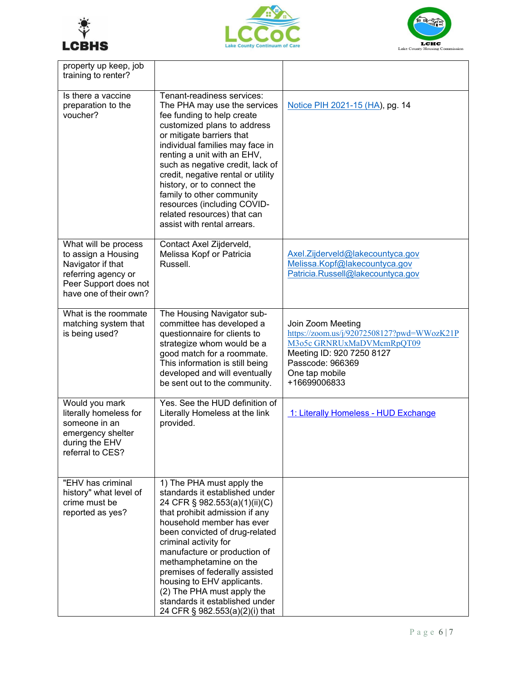





| property up keep, job<br>training to renter?                                                                                               |                                                                                                                                                                                                                                                                                                                                                                                                                                                          |                                                                                                                                                                                 |
|--------------------------------------------------------------------------------------------------------------------------------------------|----------------------------------------------------------------------------------------------------------------------------------------------------------------------------------------------------------------------------------------------------------------------------------------------------------------------------------------------------------------------------------------------------------------------------------------------------------|---------------------------------------------------------------------------------------------------------------------------------------------------------------------------------|
| Is there a vaccine<br>preparation to the<br>voucher?                                                                                       | Tenant-readiness services:<br>The PHA may use the services<br>fee funding to help create<br>customized plans to address<br>or mitigate barriers that<br>individual families may face in<br>renting a unit with an EHV,<br>such as negative credit, lack of<br>credit, negative rental or utility<br>history, or to connect the<br>family to other community<br>resources (including COVID-<br>related resources) that can<br>assist with rental arrears. | Notice PIH 2021-15 (HA), pg. 14                                                                                                                                                 |
| What will be process<br>to assign a Housing<br>Navigator if that<br>referring agency or<br>Peer Support does not<br>have one of their own? | Contact Axel Zijderveld,<br>Melissa Kopf or Patricia<br>Russell.                                                                                                                                                                                                                                                                                                                                                                                         | Axel.Zijderveld@lakecountyca.gov<br>Melissa.Kopf@lakecountyca.gov<br>Patricia.Russell@lakecountyca.gov                                                                          |
| What is the roommate<br>matching system that<br>is being used?                                                                             | The Housing Navigator sub-<br>committee has developed a<br>questionnaire for clients to<br>strategize whom would be a<br>good match for a roommate.<br>This information is still being<br>developed and will eventually<br>be sent out to the community.                                                                                                                                                                                                 | Join Zoom Meeting<br>https://zoom.us/j/92072508127?pwd=WWozK21P<br>M3o5c GRNRUxMaDVMcmRpQT09<br>Meeting ID: 920 7250 8127<br>Passcode: 966369<br>One tap mobile<br>+16699006833 |
| Would you mark<br>literally homeless for<br>someone in an<br>emergency shelter<br>during the EHV<br>referral to CES?                       | Yes. See the HUD definition of<br>Literally Homeless at the link<br>provided.                                                                                                                                                                                                                                                                                                                                                                            | 1: Literally Homeless - HUD Exchange                                                                                                                                            |
| "EHV has criminal<br>history" what level of<br>crime must be<br>reported as yes?                                                           | 1) The PHA must apply the<br>standards it established under<br>24 CFR § 982.553(a)(1)(ii)(C)<br>that prohibit admission if any<br>household member has ever<br>been convicted of drug-related<br>criminal activity for<br>manufacture or production of<br>methamphetamine on the<br>premises of federally assisted<br>housing to EHV applicants.<br>(2) The PHA must apply the<br>standards it established under<br>24 CFR § 982.553(a)(2)(i) that       |                                                                                                                                                                                 |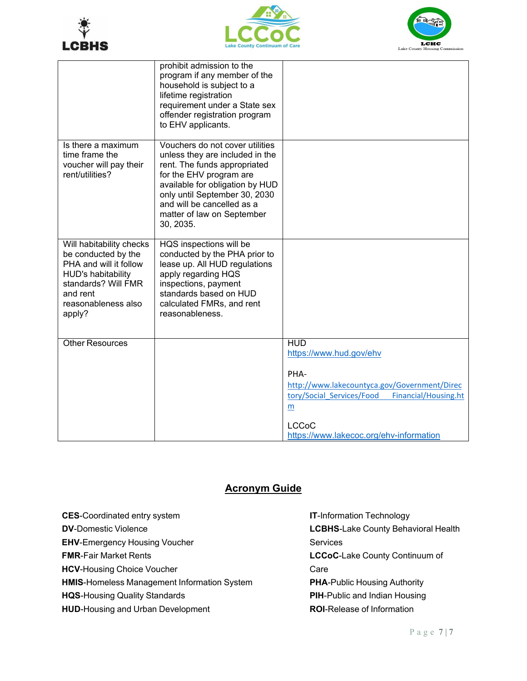





|                                                                                                                                                                     | prohibit admission to the<br>program if any member of the<br>household is subject to a<br>lifetime registration<br>requirement under a State sex<br>offender registration program<br>to EHV applicants.                                                                    |                                                                                                                                                                                                                    |
|---------------------------------------------------------------------------------------------------------------------------------------------------------------------|----------------------------------------------------------------------------------------------------------------------------------------------------------------------------------------------------------------------------------------------------------------------------|--------------------------------------------------------------------------------------------------------------------------------------------------------------------------------------------------------------------|
| Is there a maximum<br>time frame the<br>voucher will pay their<br>rent/utilities?                                                                                   | Vouchers do not cover utilities<br>unless they are included in the<br>rent. The funds appropriated<br>for the EHV program are<br>available for obligation by HUD<br>only until September 30, 2030<br>and will be cancelled as a<br>matter of law on September<br>30, 2035. |                                                                                                                                                                                                                    |
| Will habitability checks<br>be conducted by the<br>PHA and will it follow<br>HUD's habitability<br>standards? Will FMR<br>and rent<br>reasonableness also<br>apply? | HQS inspections will be<br>conducted by the PHA prior to<br>lease up. All HUD regulations<br>apply regarding HQS<br>inspections, payment<br>standards based on HUD<br>calculated FMRs, and rent<br>reasonableness.                                                         |                                                                                                                                                                                                                    |
| <b>Other Resources</b>                                                                                                                                              |                                                                                                                                                                                                                                                                            | <b>HUD</b><br>https://www.hud.gov/ehv<br>PHA-<br>http://www.lakecountyca.gov/Government/Direc<br>tory/Social Services/Food<br>Financial/Housing.ht<br>m<br><b>LCCoC</b><br>https://www.lakecoc.org/ehv-information |

## **Acronym Guide**

| <b>CES-Coordinated entry system</b>                | <b>IT-Information Technology</b>     |
|----------------------------------------------------|--------------------------------------|
| <b>DV-Domestic Violence</b>                        | LCBHS-Lake County Behavioral Health  |
| <b>EHV-Emergency Housing Voucher</b>               | Services                             |
| <b>FMR-Fair Market Rents</b>                       | LCCoC-Lake County Continuum of       |
| <b>HCV-Housing Choice Voucher</b>                  | Care                                 |
| <b>HMIS-Homeless Management Information System</b> | <b>PHA-Public Housing Authority</b>  |
| <b>HQS-Housing Quality Standards</b>               | <b>PIH-Public and Indian Housing</b> |
| <b>HUD-Housing and Urban Development</b>           | <b>ROI-Release of Information</b>    |